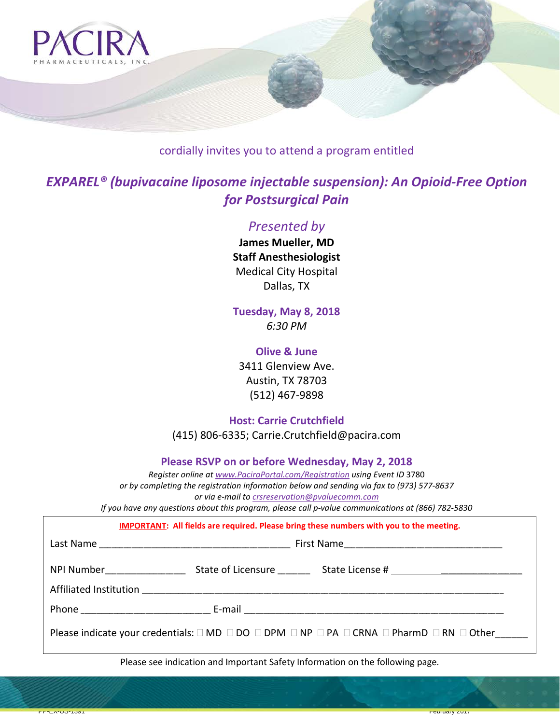

# cordially invites you to attend a program entitled

# *EXPAREL® (bupivacaine liposome injectable suspension): An Opioid-Free Option for Postsurgical Pain*

## *Presented by*

**James Mueller, MD Staff Anesthesiologist** Medical City Hospital Dallas, TX

**Tuesday, May 8, 2018** *6:30 PM*

## **Olive & June**

3411 Glenview Ave. Austin, TX 78703 (512) 467-9898

**Host: Carrie Crutchfield**

(415) 806-6335; Carrie.Crutchfield@pacira.com

**Please RSVP on or before Wednesday, May 2, 2018**

*Register online at www.PaciraPortal.com/Registration using Event ID* 3780 *or by completing the registration information below and sending via fax to (973) 577-8637 or via e-mail to [crsreservation@pvaluecomm.com](mailto:crsreservation@pvaluecomm.com) If you have any questions about this program, please call p-value communications at (866) 782-5830*

**IMPORTANT: All fields are required. Please bring these numbers with you to the meeting.**

| Please indicate your credentials: $\square$ MD $\square$ DO $\square$ DPM $\square$ NP $\square$ PA $\square$ CRNA $\square$ PharmD $\square$ RN $\square$ Other |
|------------------------------------------------------------------------------------------------------------------------------------------------------------------|

Please see indication and Important Safety Information on the following page*.*